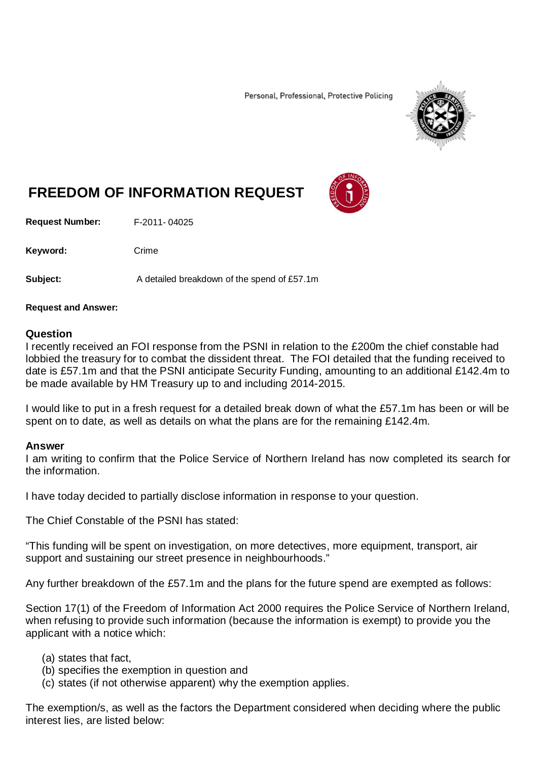Personal, Professional, Protective Policing



# **FREEDOM OF INFORMATION REQUEST**

**Request Number:** F-2011- 04025

Keyword: Crime

**Subject:** A detailed breakdown of the spend of £57.1m

#### **Request and Answer:**

#### **Question**

I recently received an FOI response from the PSNI in relation to the £200m the chief constable had lobbied the treasury for to combat the dissident threat. The FOI detailed that the funding received to date is £57.1m and that the PSNI anticipate Security Funding, amounting to an additional £142.4m to be made available by HM Treasury up to and including 2014-2015.

I would like to put in a fresh request for a detailed break down of what the £57.1m has been or will be spent on to date, as well as details on what the plans are for the remaining £142.4m.

#### **Answer**

I am writing to confirm that the Police Service of Northern Ireland has now completed its search for the information.

I have today decided to partially disclose information in response to your question.

The Chief Constable of the PSNI has stated:

"This funding will be spent on investigation, on more detectives, more equipment, transport, air support and sustaining our street presence in neighbourhoods."

Any further breakdown of the £57.1m and the plans for the future spend are exempted as follows:

Section 17(1) of the Freedom of Information Act 2000 requires the Police Service of Northern Ireland, when refusing to provide such information (because the information is exempt) to provide you the applicant with a notice which:

- (a) states that fact,
- (b) specifies the exemption in question and
- (c) states (if not otherwise apparent) why the exemption applies.

The exemption/s, as well as the factors the Department considered when deciding where the public interest lies, are listed below: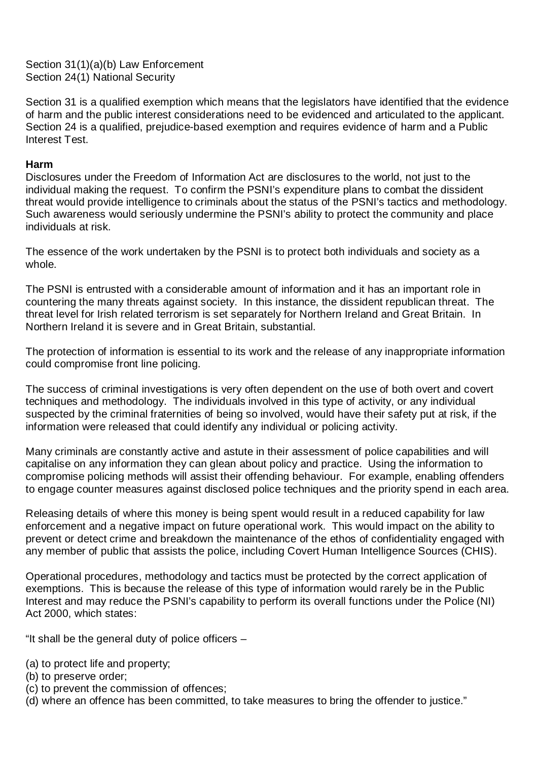Section 31(1)(a)(b) Law Enforcement Section 24(1) National Security

Section 31 is a qualified exemption which means that the legislators have identified that the evidence of harm and the public interest considerations need to be evidenced and articulated to the applicant. Section 24 is a qualified, prejudice-based exemption and requires evidence of harm and a Public Interest Test.

## **Harm**

Disclosures under the Freedom of Information Act are disclosures to the world, not just to the individual making the request. To confirm the PSNI's expenditure plans to combat the dissident threat would provide intelligence to criminals about the status of the PSNI's tactics and methodology. Such awareness would seriously undermine the PSNI's ability to protect the community and place individuals at risk.

The essence of the work undertaken by the PSNI is to protect both individuals and society as a whole.

The PSNI is entrusted with a considerable amount of information and it has an important role in countering the many threats against society. In this instance, the dissident republican threat. The threat level for Irish related terrorism is set separately for Northern Ireland and Great Britain. In Northern Ireland it is severe and in Great Britain, substantial.

The protection of information is essential to its work and the release of any inappropriate information could compromise front line policing.

The success of criminal investigations is very often dependent on the use of both overt and covert techniques and methodology. The individuals involved in this type of activity, or any individual suspected by the criminal fraternities of being so involved, would have their safety put at risk, if the information were released that could identify any individual or policing activity.

Many criminals are constantly active and astute in their assessment of police capabilities and will capitalise on any information they can glean about policy and practice. Using the information to compromise policing methods will assist their offending behaviour. For example, enabling offenders to engage counter measures against disclosed police techniques and the priority spend in each area.

Releasing details of where this money is being spent would result in a reduced capability for law enforcement and a negative impact on future operational work. This would impact on the ability to prevent or detect crime and breakdown the maintenance of the ethos of confidentiality engaged with any member of public that assists the police, including Covert Human Intelligence Sources (CHIS).

Operational procedures, methodology and tactics must be protected by the correct application of exemptions. This is because the release of this type of information would rarely be in the Public Interest and may reduce the PSNI's capability to perform its overall functions under the Police (NI) Act 2000, which states:

"It shall be the general duty of police officers  $-$ 

- (a) to protect life and property;
- (b) to preserve order;
- (c) to prevent the commission of offences;
- (d) where an offence has been committed, to take measures to bring the offender to justice."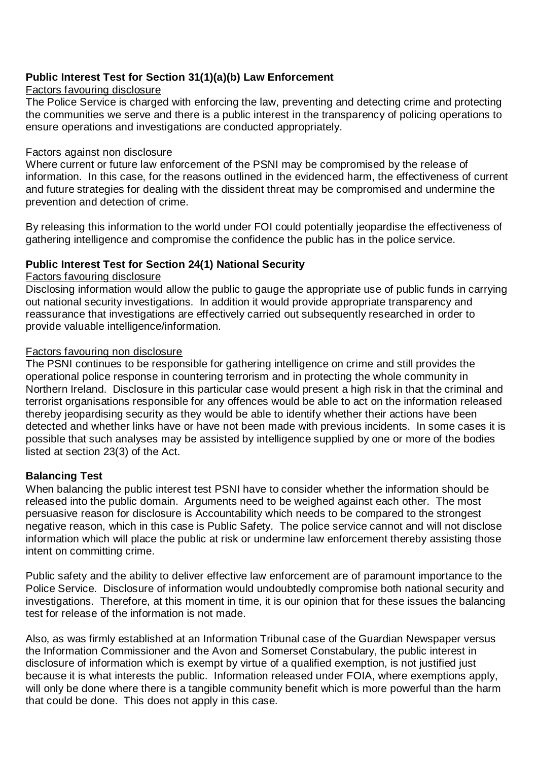# **Public Interest Test for Section 31(1)(a)(b) Law Enforcement**

## Factors favouring disclosure

The Police Service is charged with enforcing the law, preventing and detecting crime and protecting the communities we serve and there is a public interest in the transparency of policing operations to ensure operations and investigations are conducted appropriately.

#### Factors against non disclosure

Where current or future law enforcement of the PSNI may be compromised by the release of information. In this case, for the reasons outlined in the evidenced harm, the effectiveness of current and future strategies for dealing with the dissident threat may be compromised and undermine the prevention and detection of crime.

By releasing this information to the world under FOI could potentially jeopardise the effectiveness of gathering intelligence and compromise the confidence the public has in the police service.

## **Public Interest Test for Section 24(1) National Security**

#### Factors favouring disclosure

Disclosing information would allow the public to gauge the appropriate use of public funds in carrying out national security investigations. In addition it would provide appropriate transparency and reassurance that investigations are effectively carried out subsequently researched in order to provide valuable intelligence/information.

## Factors favouring non disclosure

The PSNI continues to be responsible for gathering intelligence on crime and still provides the operational police response in countering terrorism and in protecting the whole community in Northern Ireland. Disclosure in this particular case would present a high risk in that the criminal and terrorist organisations responsible for any offences would be able to act on the information released thereby jeopardising security as they would be able to identify whether their actions have been detected and whether links have or have not been made with previous incidents. In some cases it is possible that such analyses may be assisted by intelligence supplied by one or more of the bodies listed at section 23(3) of the Act.

## **Balancing Test**

When balancing the public interest test PSNI have to consider whether the information should be released into the public domain. Arguments need to be weighed against each other. The most persuasive reason for disclosure is Accountability which needs to be compared to the strongest negative reason, which in this case is Public Safety. The police service cannot and will not disclose information which will place the public at risk or undermine law enforcement thereby assisting those intent on committing crime.

Public safety and the ability to deliver effective law enforcement are of paramount importance to the Police Service. Disclosure of information would undoubtedly compromise both national security and investigations. Therefore, at this moment in time, it is our opinion that for these issues the balancing test for release of the information is not made.

Also, as was firmly established at an Information Tribunal case of the Guardian Newspaper versus the Information Commissioner and the Avon and Somerset Constabulary, the public interest in disclosure of information which is exempt by virtue of a qualified exemption, is not justified just because it is what interests the public. Information released under FOIA, where exemptions apply, will only be done where there is a tangible community benefit which is more powerful than the harm that could be done. This does not apply in this case.